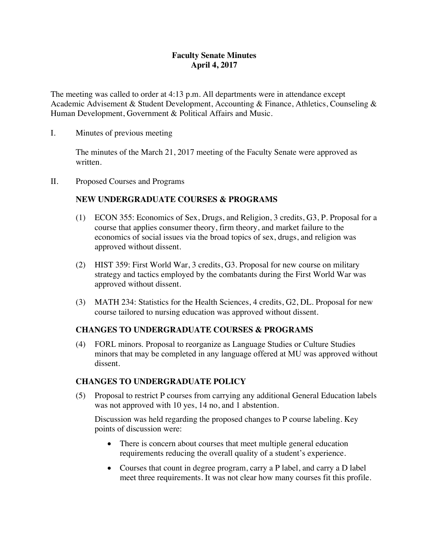## **Faculty Senate Minutes April 4, 2017**

The meeting was called to order at 4:13 p.m. All departments were in attendance except Academic Advisement & Student Development, Accounting & Finance, Athletics, Counseling & Human Development, Government & Political Affairs and Music.

I. Minutes of previous meeting

The minutes of the March 21, 2017 meeting of the Faculty Senate were approved as written.

II. Proposed Courses and Programs

# **NEW UNDERGRADUATE COURSES & PROGRAMS**

- (1) ECON 355: Economics of Sex, Drugs, and Religion, 3 credits, G3, P. Proposal for a course that applies consumer theory, firm theory, and market failure to the economics of social issues via the broad topics of sex, drugs, and religion was approved without dissent.
- (2) HIST 359: First World War, 3 credits, G3. Proposal for new course on military strategy and tactics employed by the combatants during the First World War was approved without dissent.
- (3) MATH 234: Statistics for the Health Sciences, 4 credits, G2, DL. Proposal for new course tailored to nursing education was approved without dissent.

## **CHANGES TO UNDERGRADUATE COURSES & PROGRAMS**

(4) FORL minors. Proposal to reorganize as Language Studies or Culture Studies minors that may be completed in any language offered at MU was approved without dissent.

## **CHANGES TO UNDERGRADUATE POLICY**

(5) Proposal to restrict P courses from carrying any additional General Education labels was not approved with 10 yes, 14 no, and 1 abstention.

Discussion was held regarding the proposed changes to P course labeling. Key points of discussion were:

- There is concern about courses that meet multiple general education requirements reducing the overall quality of a student's experience.
- Courses that count in degree program, carry a P label, and carry a D label meet three requirements. It was not clear how many courses fit this profile.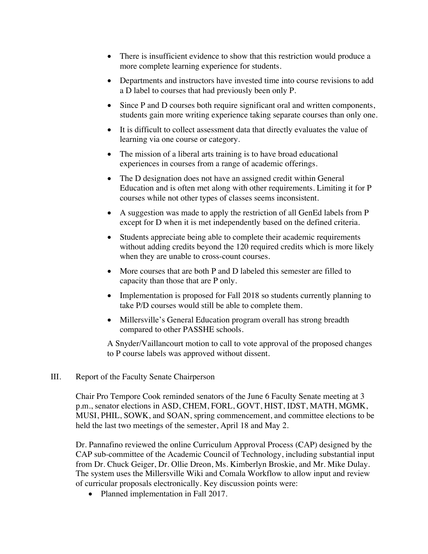- There is insufficient evidence to show that this restriction would produce a more complete learning experience for students.
- Departments and instructors have invested time into course revisions to add a D label to courses that had previously been only P.
- Since P and D courses both require significant oral and written components, students gain more writing experience taking separate courses than only one.
- It is difficult to collect assessment data that directly evaluates the value of learning via one course or category.
- The mission of a liberal arts training is to have broad educational experiences in courses from a range of academic offerings.
- The D designation does not have an assigned credit within General Education and is often met along with other requirements. Limiting it for P courses while not other types of classes seems inconsistent.
- A suggestion was made to apply the restriction of all GenEd labels from P except for D when it is met independently based on the defined criteria.
- Students appreciate being able to complete their academic requirements without adding credits beyond the 120 required credits which is more likely when they are unable to cross-count courses.
- More courses that are both P and D labeled this semester are filled to capacity than those that are P only.
- Implementation is proposed for Fall 2018 so students currently planning to take P/D courses would still be able to complete them.
- Millersville's General Education program overall has strong breadth compared to other PASSHE schools.

A Snyder/Vaillancourt motion to call to vote approval of the proposed changes to P course labels was approved without dissent.

## III. Report of the Faculty Senate Chairperson

Chair Pro Tempore Cook reminded senators of the June 6 Faculty Senate meeting at 3 p.m., senator elections in ASD, CHEM, FORL, GOVT, HIST, IDST, MATH, MGMK, MUSI, PHIL, SOWK, and SOAN, spring commencement, and committee elections to be held the last two meetings of the semester, April 18 and May 2.

Dr. Pannafino reviewed the online Curriculum Approval Process (CAP) designed by the CAP sub-committee of the Academic Council of Technology, including substantial input from Dr. Chuck Geiger, Dr. Ollie Dreon, Ms. Kimberlyn Broskie, and Mr. Mike Dulay. The system uses the Millersville Wiki and Comala Workflow to allow input and review of curricular proposals electronically. Key discussion points were:

• Planned implementation in Fall 2017.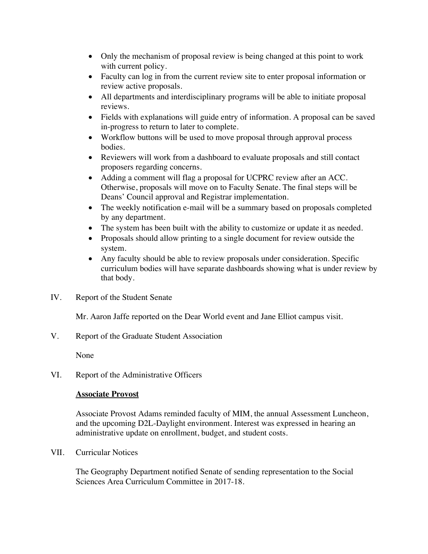- Only the mechanism of proposal review is being changed at this point to work with current policy.
- Faculty can log in from the current review site to enter proposal information or review active proposals.
- All departments and interdisciplinary programs will be able to initiate proposal reviews.
- Fields with explanations will guide entry of information. A proposal can be saved in-progress to return to later to complete.
- Workflow buttons will be used to move proposal through approval process bodies.
- Reviewers will work from a dashboard to evaluate proposals and still contact proposers regarding concerns.
- Adding a comment will flag a proposal for UCPRC review after an ACC. Otherwise, proposals will move on to Faculty Senate. The final steps will be Deans' Council approval and Registrar implementation.
- The weekly notification e-mail will be a summary based on proposals completed by any department.
- The system has been built with the ability to customize or update it as needed.
- Proposals should allow printing to a single document for review outside the system.
- Any faculty should be able to review proposals under consideration. Specific curriculum bodies will have separate dashboards showing what is under review by that body.
- IV. Report of the Student Senate

Mr. Aaron Jaffe reported on the Dear World event and Jane Elliot campus visit.

V. Report of the Graduate Student Association

None

VI. Report of the Administrative Officers

## **Associate Provost**

Associate Provost Adams reminded faculty of MIM, the annual Assessment Luncheon, and the upcoming D2L-Daylight environment. Interest was expressed in hearing an administrative update on enrollment, budget, and student costs.

VII. Curricular Notices

The Geography Department notified Senate of sending representation to the Social Sciences Area Curriculum Committee in 2017-18.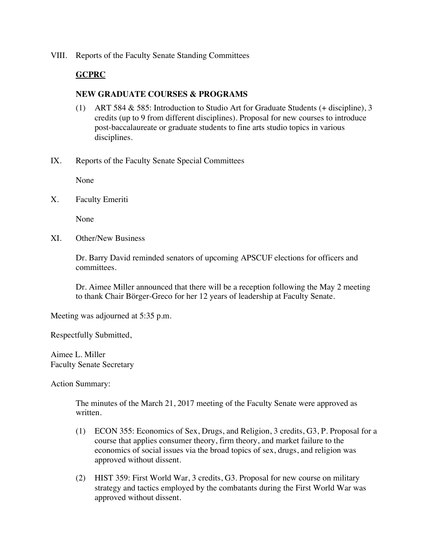VIII. Reports of the Faculty Senate Standing Committees

#### **GCPRC**

#### **NEW GRADUATE COURSES & PROGRAMS**

- (1) ART 584 & 585: Introduction to Studio Art for Graduate Students (+ discipline), 3 credits (up to 9 from different disciplines). Proposal for new courses to introduce post-baccalaureate or graduate students to fine arts studio topics in various disciplines.
- IX. Reports of the Faculty Senate Special Committees

None

X. Faculty Emeriti

None

XI. Other/New Business

Dr. Barry David reminded senators of upcoming APSCUF elections for officers and committees.

Dr. Aimee Miller announced that there will be a reception following the May 2 meeting to thank Chair Börger-Greco for her 12 years of leadership at Faculty Senate.

Meeting was adjourned at 5:35 p.m.

Respectfully Submitted,

Aimee L. Miller Faculty Senate Secretary

Action Summary:

The minutes of the March 21, 2017 meeting of the Faculty Senate were approved as written.

- (1) ECON 355: Economics of Sex, Drugs, and Religion, 3 credits, G3, P. Proposal for a course that applies consumer theory, firm theory, and market failure to the economics of social issues via the broad topics of sex, drugs, and religion was approved without dissent.
- (2) HIST 359: First World War, 3 credits, G3. Proposal for new course on military strategy and tactics employed by the combatants during the First World War was approved without dissent.